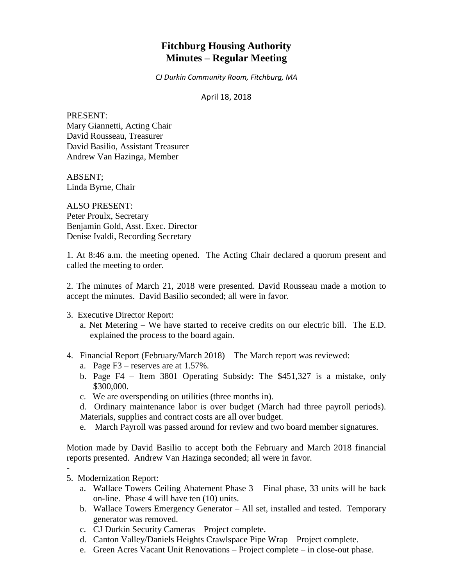# **Fitchburg Housing Authority Minutes – Regular Meeting**

*CJ Durkin Community Room, Fitchburg, MA*

April 18, 2018

PRESENT: Mary Giannetti, Acting Chair David Rousseau, Treasurer David Basilio, Assistant Treasurer Andrew Van Hazinga, Member

ABSENT; Linda Byrne, Chair

ALSO PRESENT: Peter Proulx, Secretary Benjamin Gold, Asst. Exec. Director Denise Ivaldi, Recording Secretary

1. At 8:46 a.m. the meeting opened. The Acting Chair declared a quorum present and called the meeting to order.

2. The minutes of March 21, 2018 were presented. David Rousseau made a motion to accept the minutes. David Basilio seconded; all were in favor.

- 3. Executive Director Report:
	- a. Net Metering We have started to receive credits on our electric bill. The E.D. explained the process to the board again.
- 4. Financial Report (February/March 2018) The March report was reviewed:
	- a. Page F3 reserves are at 1.57%.
	- b. Page F4 Item 3801 Operating Subsidy: The \$451,327 is a mistake, only \$300,000.
	- c. We are overspending on utilities (three months in).
	- d. Ordinary maintenance labor is over budget (March had three payroll periods). Materials, supplies and contract costs are all over budget.
	- e. March Payroll was passed around for review and two board member signatures.

Motion made by David Basilio to accept both the February and March 2018 financial reports presented. Andrew Van Hazinga seconded; all were in favor.

- -
- 5. Modernization Report:
	- a. Wallace Towers Ceiling Abatement Phase 3 Final phase, 33 units will be back on-line. Phase 4 will have ten (10) units.
	- b. Wallace Towers Emergency Generator All set, installed and tested. Temporary generator was removed.
	- c. CJ Durkin Security Cameras Project complete.
	- d. Canton Valley/Daniels Heights Crawlspace Pipe Wrap Project complete.
	- e. Green Acres Vacant Unit Renovations Project complete in close-out phase.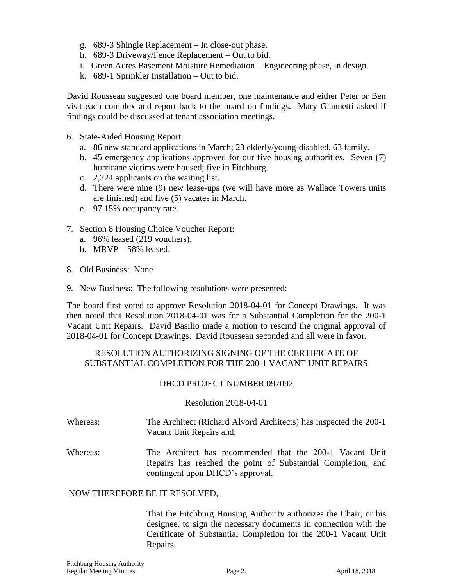- g. 689-3 Shingle Replacement In close-out phase.
- h. 689-3 Driveway/Fence Replacement Out to bid.
- i. Green Acres Basement Moisture Remediation Engineering phase, in design.
- k. 689-1 Sprinkler Installation Out to bid.

David Rousseau suggested one board member, one maintenance and either Peter or Ben visit each complex and report back to the board on findings. Mary Giannetti asked if findings could be discussed at tenant association meetings.

- 6. State-Aided Housing Report:
	- a. 86 new standard applications in March; 23 elderly/young-disabled, 63 family.
	- b. 45 emergency applications approved for our five housing authorities. Seven (7) hurricane victims were housed; five in Fitchburg.
	- c. 2,224 applicants on the waiting list.
	- d. There were nine (9) new lease-ups (we will have more as Wallace Towers units are finished) and five (5) vacates in March.
	- e. 97.15% occupancy rate.
- 7. Section 8 Housing Choice Voucher Report:
	- a. 96% leased (219 vouchers).
	- b. MRVP 58% leased.
- 8. Old Business: None
- 9. New Business: The following resolutions were presented:

The board first voted to approve Resolution 2018-04-01 for Concept Drawings. It was then noted that Resolution 2018-04-01 was for a Substantial Completion for the 200-1 Vacant Unit Repairs. David Basilio made a motion to rescind the original approval of 2018-04-01 for Concept Drawings. David Rousseau seconded and all were in favor.

# RESOLUTION AUTHORIZING SIGNING OF THE CERTIFICATE OF SUBSTANTIAL COMPLETION FOR THE 200-1 VACANT UNIT REPAIRS

## DHCD PROJECT NUMBER 097092

#### Resolution 2018-04-01

- Whereas: The Architect (Richard Alvord Architects) has inspected the 200-1 Vacant Unit Repairs and,
- Whereas: The Architect has recommended that the 200-1 Vacant Unit Repairs has reached the point of Substantial Completion, and contingent upon DHCD's approval.

## NOW THEREFORE BE IT RESOLVED,

That the Fitchburg Housing Authority authorizes the Chair, or his designee, to sign the necessary documents in connection with the Certificate of Substantial Completion for the 200-1 Vacant Unit Repairs.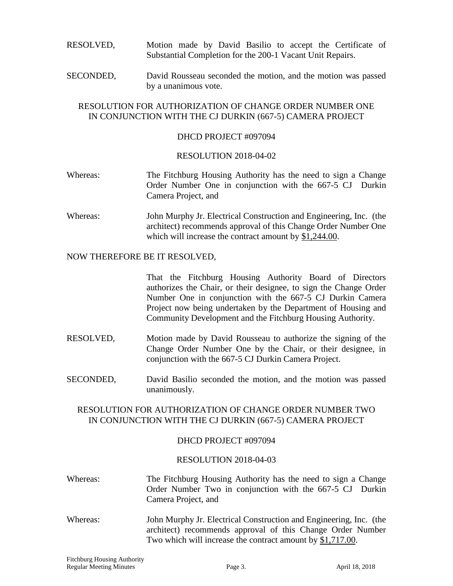# RESOLVED, Motion made by David Basilio to accept the Certificate of Substantial Completion for the 200-1 Vacant Unit Repairs.

SECONDED, David Rousseau seconded the motion, and the motion was passed by a unanimous vote.

# RESOLUTION FOR AUTHORIZATION OF CHANGE ORDER NUMBER ONE IN CONJUNCTION WITH THE CJ DURKIN (667-5) CAMERA PROJECT

#### DHCD PROJECT #097094

#### RESOLUTION 2018-04-02

- Whereas: The Fitchburg Housing Authority has the need to sign a Change Order Number One in conjunction with the 667-5 CJ Durkin Camera Project, and
- Whereas: John Murphy Jr. Electrical Construction and Engineering, Inc. (the architect) recommends approval of this Change Order Number One which will increase the contract amount by \$1,244.00.

#### NOW THEREFORE BE IT RESOLVED,

That the Fitchburg Housing Authority Board of Directors authorizes the Chair, or their designee, to sign the Change Order Number One in conjunction with the 667-5 CJ Durkin Camera Project now being undertaken by the Department of Housing and Community Development and the Fitchburg Housing Authority.

- RESOLVED, Motion made by David Rousseau to authorize the signing of the Change Order Number One by the Chair, or their designee, in conjunction with the 667-5 CJ Durkin Camera Project.
- SECONDED, David Basilio seconded the motion, and the motion was passed unanimously.

## RESOLUTION FOR AUTHORIZATION OF CHANGE ORDER NUMBER TWO IN CONJUNCTION WITH THE CJ DURKIN (667-5) CAMERA PROJECT

## DHCD PROJECT #097094

## RESOLUTION 2018-04-03

- Whereas: The Fitchburg Housing Authority has the need to sign a Change Order Number Two in conjunction with the 667-5 CJ Durkin Camera Project, and
- Whereas: John Murphy Jr. Electrical Construction and Engineering, Inc. (the architect) recommends approval of this Change Order Number Two which will increase the contract amount by \$1,717.00.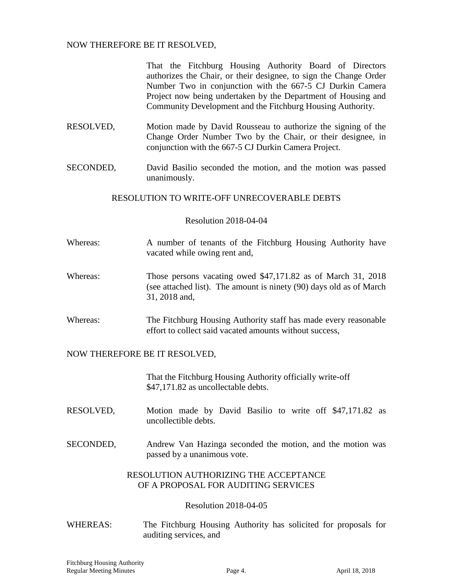# NOW THEREFORE BE IT RESOLVED,

That the Fitchburg Housing Authority Board of Directors authorizes the Chair, or their designee, to sign the Change Order Number Two in conjunction with the 667-5 CJ Durkin Camera Project now being undertaken by the Department of Housing and Community Development and the Fitchburg Housing Authority.

- RESOLVED, Motion made by David Rousseau to authorize the signing of the Change Order Number Two by the Chair, or their designee, in conjunction with the 667-5 CJ Durkin Camera Project.
- SECONDED, David Basilio seconded the motion, and the motion was passed unanimously.

# RESOLUTION TO WRITE-OFF UNRECOVERABLE DEBTS

## Resolution 2018-04-04

- Whereas: A number of tenants of the Fitchburg Housing Authority have vacated while owing rent and,
- Whereas: Those persons vacating owed \$47,171.82 as of March 31, 2018 (see attached list). The amount is ninety (90) days old as of March 31, 2018 and,
- Whereas: The Fitchburg Housing Authority staff has made every reasonable effort to collect said vacated amounts without success,

## NOW THEREFORE BE IT RESOLVED,

That the Fitchburg Housing Authority officially write-off \$47,171.82 as uncollectable debts.

- RESOLVED, Motion made by David Basilio to write off \$47,171.82 as uncollectible debts.
- SECONDED, Andrew Van Hazinga seconded the motion, and the motion was passed by a unanimous vote.

## RESOLUTION AUTHORIZING THE ACCEPTANCE OF A PROPOSAL FOR AUDITING SERVICES

## Resolution 2018-04-05

WHEREAS: The Fitchburg Housing Authority has solicited for proposals for auditing services, and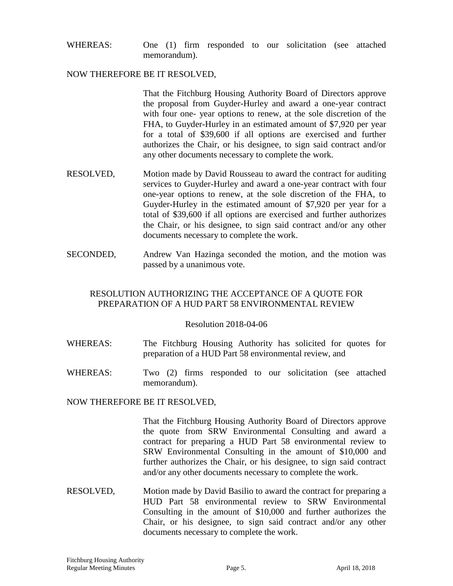WHEREAS: One (1) firm responded to our solicitation (see attached memorandum).

#### NOW THEREFORE BE IT RESOLVED,

That the Fitchburg Housing Authority Board of Directors approve the proposal from Guyder-Hurley and award a one-year contract with four one- year options to renew, at the sole discretion of the FHA, to Guyder-Hurley in an estimated amount of \$7,920 per year for a total of \$39,600 if all options are exercised and further authorizes the Chair, or his designee, to sign said contract and/or any other documents necessary to complete the work.

- RESOLVED, Motion made by David Rousseau to award the contract for auditing services to Guyder-Hurley and award a one-year contract with four one-year options to renew, at the sole discretion of the FHA, to Guyder-Hurley in the estimated amount of \$7,920 per year for a total of \$39,600 if all options are exercised and further authorizes the Chair, or his designee, to sign said contract and/or any other documents necessary to complete the work.
- SECONDED, Andrew Van Hazinga seconded the motion, and the motion was passed by a unanimous vote.

# RESOLUTION AUTHORIZING THE ACCEPTANCE OF A QUOTE FOR PREPARATION OF A HUD PART 58 ENVIRONMENTAL REVIEW

#### Resolution 2018-04-06

- WHEREAS: The Fitchburg Housing Authority has solicited for quotes for preparation of a HUD Part 58 environmental review, and
- WHEREAS: Two (2) firms responded to our solicitation (see attached memorandum).

NOW THEREFORE BE IT RESOLVED,

That the Fitchburg Housing Authority Board of Directors approve the quote from SRW Environmental Consulting and award a contract for preparing a HUD Part 58 environmental review to SRW Environmental Consulting in the amount of \$10,000 and further authorizes the Chair, or his designee, to sign said contract and/or any other documents necessary to complete the work.

RESOLVED, Motion made by David Basilio to award the contract for preparing a HUD Part 58 environmental review to SRW Environmental Consulting in the amount of \$10,000 and further authorizes the Chair, or his designee, to sign said contract and/or any other documents necessary to complete the work.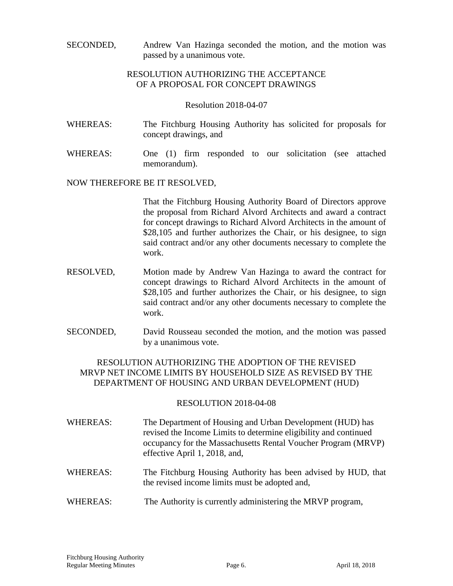SECONDED, Andrew Van Hazinga seconded the motion, and the motion was passed by a unanimous vote.

# RESOLUTION AUTHORIZING THE ACCEPTANCE OF A PROPOSAL FOR CONCEPT DRAWINGS

#### Resolution 2018-04-07

- WHEREAS: The Fitchburg Housing Authority has solicited for proposals for concept drawings, and
- WHEREAS: One (1) firm responded to our solicitation (see attached memorandum).

#### NOW THEREFORE BE IT RESOLVED,

That the Fitchburg Housing Authority Board of Directors approve the proposal from Richard Alvord Architects and award a contract for concept drawings to Richard Alvord Architects in the amount of \$28,105 and further authorizes the Chair, or his designee, to sign said contract and/or any other documents necessary to complete the work.

- RESOLVED, Motion made by Andrew Van Hazinga to award the contract for concept drawings to Richard Alvord Architects in the amount of \$28,105 and further authorizes the Chair, or his designee, to sign said contract and/or any other documents necessary to complete the work.
- SECONDED, David Rousseau seconded the motion, and the motion was passed by a unanimous vote.

# RESOLUTION AUTHORIZING THE ADOPTION OF THE REVISED MRVP NET INCOME LIMITS BY HOUSEHOLD SIZE AS REVISED BY THE DEPARTMENT OF HOUSING AND URBAN DEVELOPMENT (HUD)

## RESOLUTION 2018-04-08

- WHEREAS: The Department of Housing and Urban Development (HUD) has revised the Income Limits to determine eligibility and continued occupancy for the Massachusetts Rental Voucher Program (MRVP) effective April 1, 2018, and,
- WHEREAS: The Fitchburg Housing Authority has been advised by HUD, that the revised income limits must be adopted and,
- WHEREAS: The Authority is currently administering the MRVP program,